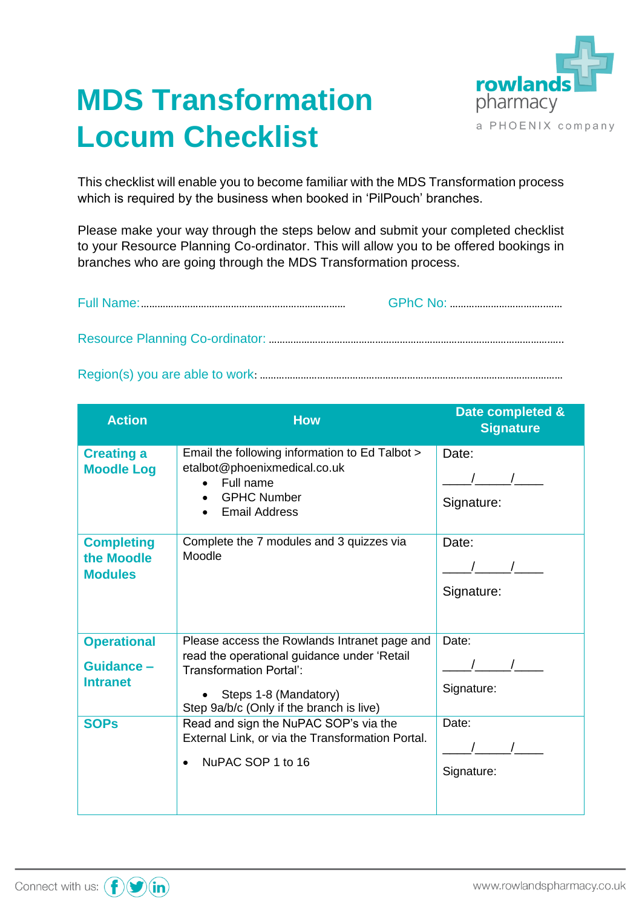

## **MDS Transformation Locum Checklist**

This checklist will enable you to become familiar with the MDS Transformation process which is required by the business when booked in 'PilPouch' branches.

Please make your way through the steps below and submit your completed checklist to your Resource Planning Co-ordinator. This will allow you to be offered bookings in branches who are going through the MDS Transformation process.

Region(s) you are able to work: …………………………………………………………………………………………………

| <b>Action</b>                                      | <b>How</b>                                                                                                                                                                                         | Date completed &<br><b>Signature</b>                    |
|----------------------------------------------------|----------------------------------------------------------------------------------------------------------------------------------------------------------------------------------------------------|---------------------------------------------------------|
| <b>Creating a</b><br><b>Moodle Log</b>             | Email the following information to Ed Talbot ><br>etalbot@phoenixmedical.co.uk<br>Full name<br><b>GPHC Number</b><br><b>Email Address</b>                                                          | Date:<br>Signature:                                     |
| <b>Completing</b><br>the Moodle<br><b>Modules</b>  | Complete the 7 modules and 3 quizzes via<br>Moodle                                                                                                                                                 | Date:<br>Signature:                                     |
| <b>Operational</b><br>Guidance-<br><b>Intranet</b> | Please access the Rowlands Intranet page and<br>read the operational guidance under 'Retail<br><b>Transformation Portal':</b><br>Steps 1-8 (Mandatory)<br>Step 9a/b/c (Only if the branch is live) | Date:<br>$\begin{array}{ccc} \end{array}$<br>Signature: |
| <b>SOPs</b>                                        | Read and sign the NuPAC SOP's via the<br>External Link, or via the Transformation Portal.<br>NuPAC SOP 1 to 16                                                                                     | Date:<br>Signature:                                     |